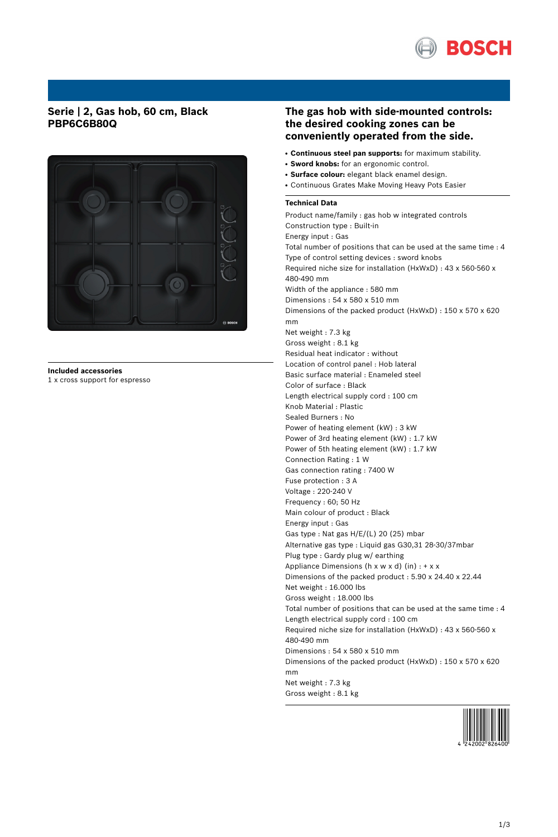

## **Serie | 2, Gas hob, 60 cm, Black PBP6C6B80Q**



**Included accessories** 1 x cross support for espresso

## **The gas hob with side-mounted controls: the desired cooking zones can be conveniently operated from the side.**

- **Continuous steel pan supports:** for maximum stability.
- **Sword knobs:** for an ergonomic control.
- **Surface colour:** elegant black enamel design.
- Continuous Grates Make Moving Heavy Pots Easier

## **Technical Data**

Product name/family : gas hob w integrated controls Construction type : Built-in Energy input : Gas Total number of positions that can be used at the same time : 4 Type of control setting devices : sword knobs Required niche size for installation (HxWxD) : 43 x 560-560 x 480-490 mm Width of the appliance : 580 mm Dimensions : 54 x 580 x 510 mm Dimensions of the packed product (HxWxD) : 150 x 570 x 620 mm Net weight : 7.3 kg Gross weight : 8.1 kg Residual heat indicator : without Location of control panel : Hob lateral Basic surface material : Enameled steel Color of surface : Black Length electrical supply cord : 100 cm Knob Material : Plastic Sealed Burners : No Power of heating element (kW) : 3 kW Power of 3rd heating element (kW) : 1.7 kW Power of 5th heating element (kW) : 1.7 kW Connection Rating : 1 W Gas connection rating : 7400 W Fuse protection : 3 A Voltage : 220-240 V Frequency : 60; 50 Hz Main colour of product : Black Energy input : Gas Gas type : Nat gas H/E/(L) 20 (25) mbar Alternative gas type : Liquid gas G30,31 28-30/37mbar Plug type : Gardy plug w/ earthing Appliance Dimensions ( $h \times w \times d$ ) (in) : +  $x \times x$ Dimensions of the packed product : 5.90 x 24.40 x 22.44 Net weight : 16.000 lbs Gross weight : 18.000 lbs Total number of positions that can be used at the same time : 4 Length electrical supply cord : 100 cm Required niche size for installation (HxWxD) : 43 x 560-560 x 480-490 mm Dimensions : 54 x 580 x 510 mm Dimensions of the packed product (HxWxD) : 150 x 570 x 620 mm Net weight : 7.3 kg Gross weight : 8.1 kg

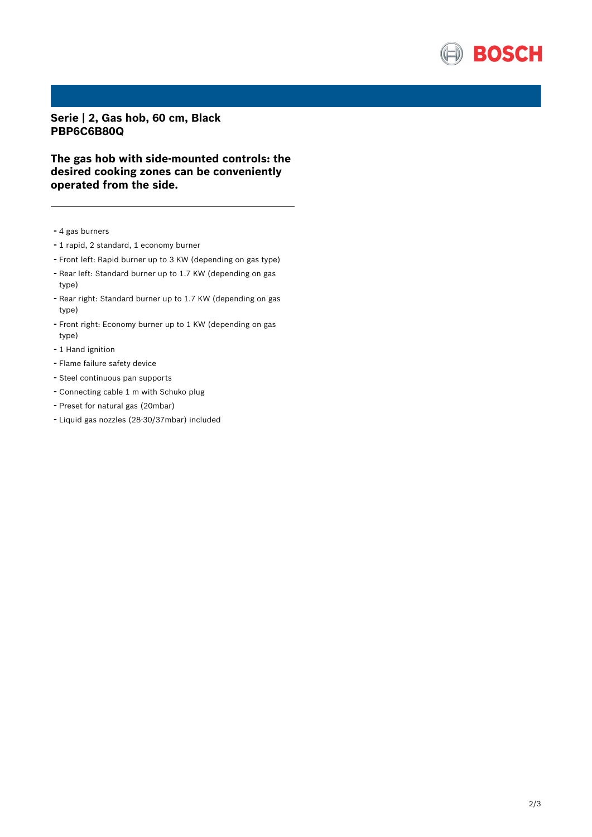

**Serie | 2, Gas hob, 60 cm, Black PBP6C6B80Q**

**The gas hob with side-mounted controls: the desired cooking zones can be conveniently operated from the side.**

- <sup>4</sup> gas burners
- <sup>1</sup> rapid, <sup>2</sup> standard, <sup>1</sup> economy burner
- Front left: Rapid burner up to <sup>3</sup> KW (depending on gas type)
- Rear left: Standard burner up to 1.7 KW (depending on gas type)
- Rear right: Standard burner up to 1.7 KW (depending on gas type)
- Front right: Economy burner up to <sup>1</sup> KW (depending on gas type)
- 1 Hand ignition
- Flame failure safety device
- Steel continuous pan supports
- Connecting cable <sup>1</sup> <sup>m</sup> with Schuko plug
- Preset for natural gas (20mbar)
- Liquid gas nozzles (28-30/37mbar) included